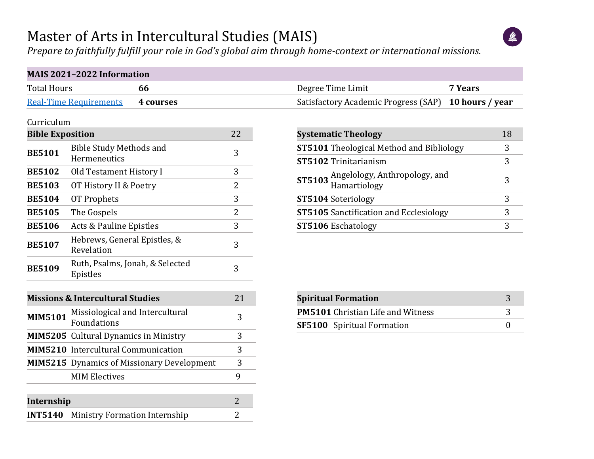## Master of Arts in Intercultural Studies (MAIS)



*Prepare to faithfully fulfill your role in God's global aim through home-context or international missions.*

|                         | MAIS 2021-2022 Information                        |                |                                                                        |                       |
|-------------------------|---------------------------------------------------|----------------|------------------------------------------------------------------------|-----------------------|
| <b>Total Hours</b>      | 66                                                |                | Degree Time Limit<br>7 Years                                           |                       |
|                         | <b>Real-Time Requirements</b><br>4 courses        |                | Satisfactory Academic Progress (SAP)<br>10 hours / year                |                       |
| Curriculum              |                                                   |                |                                                                        |                       |
| <b>Bible Exposition</b> |                                                   | 22             | <b>Systematic Theology</b>                                             | 18                    |
| <b>BE5101</b>           | <b>Bible Study Methods and</b>                    | 3              | <b>ST5101</b> Theological Method and Bibliology                        | 3                     |
|                         | Hermeneutics                                      |                | ST5102 Trinitarianism                                                  | 3                     |
| <b>BE5102</b>           | Old Testament History I                           | 3              | Angelology, Anthropology, and<br><b>ST5103</b>                         | 3                     |
| <b>BE5103</b>           | OT History II & Poetry                            | $\overline{c}$ | Hamartiology                                                           |                       |
| <b>BE5104</b>           | <b>OT Prophets</b>                                | 3              | ST5104 Soteriology                                                     | 3                     |
| <b>BE5105</b>           | The Gospels                                       | $\overline{2}$ | <b>ST5105</b> Sanctification and Ecclesiology                          | 3                     |
| <b>BE5106</b>           | Acts & Pauline Epistles                           | 3              | ST5106 Eschatology                                                     | 3                     |
| <b>BE5107</b>           | Hebrews, General Epistles, &<br>Revelation        | 3              |                                                                        |                       |
| <b>BE5109</b>           | Ruth, Psalms, Jonah, & Selected<br>Epistles       | 3              |                                                                        |                       |
|                         | <b>Missions &amp; Intercultural Studies</b>       | 21             | <b>Spiritual Formation</b>                                             | 3                     |
| <b>MIM5101</b>          | Missiological and Intercultural<br>Foundations    | 3              | <b>PM5101</b> Christian Life and Witness<br>SF5100 Spiritual Formation | 3<br>$\boldsymbol{0}$ |
|                         | <b>MIM5205</b> Cultural Dynamics in Ministry      | 3              |                                                                        |                       |
|                         | <b>MIM5210</b> Intercultural Communication        | 3              |                                                                        |                       |
|                         | <b>MIM5215</b> Dynamics of Missionary Development | 3              |                                                                        |                       |
|                         | <b>MIM Electives</b>                              | 9              |                                                                        |                       |
| Internship              |                                                   | $\overline{2}$ |                                                                        |                       |
|                         | <b>INT5140</b> Ministry Formation Internship      | 2              |                                                                        |                       |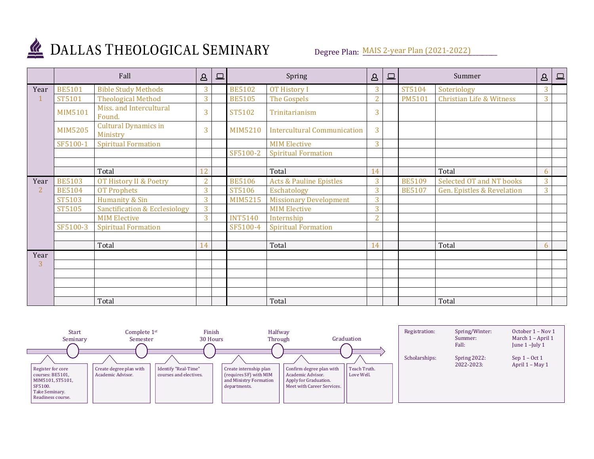

## DALLAS THEOLOGICAL SEMINARY

Degree Plan: MAIS 2-year Plan (2021-2022)

|                | Fall           |                                          | $\mathsf B$    | $\Box$ | Spring         |                                    | $\Delta$       | $\square$ | Summer        |                                       | $\Delta$ | $\boxed{\square}$ |
|----------------|----------------|------------------------------------------|----------------|--------|----------------|------------------------------------|----------------|-----------|---------------|---------------------------------------|----------|-------------------|
| Year           | <b>BE5101</b>  | <b>Bible Study Methods</b>               | 3              |        | <b>BE5102</b>  | <b>OT History I</b>                | 3              |           | ST5104        | Soteriology                           | 3        |                   |
|                | ST5101         | <b>Theological Method</b>                | 3              |        | <b>BE5105</b>  | The Gospels                        | $\overline{2}$ |           | <b>PM5101</b> | <b>Christian Life &amp; Witness</b>   | 3        |                   |
|                | MIM5101        | Miss. and Intercultural<br>Found.        | 3              |        | ST5102         | Trinitarianism                     | 3              |           |               |                                       |          |                   |
|                | <b>MIM5205</b> | <b>Cultural Dynamics in</b><br>Ministry  | 3              |        | <b>MIM5210</b> | <b>Intercultural Communication</b> | 3              |           |               |                                       |          |                   |
|                | SF5100-1       | <b>Spiritual Formation</b>               |                |        |                | <b>MIM Elective</b>                | 3              |           |               |                                       |          |                   |
|                |                |                                          |                |        | SF5100-2       | <b>Spiritual Formation</b>         |                |           |               |                                       |          |                   |
|                |                |                                          |                |        |                |                                    |                |           |               |                                       |          |                   |
|                |                | Total                                    | 12             |        |                | Total                              | 14             |           |               | Total                                 | 6        |                   |
| Year           | <b>BE5103</b>  | OT History II & Poetry                   | $\overline{2}$ |        | <b>BE5106</b>  | <b>Acts &amp; Pauline Epistles</b> | 3              |           | <b>BE5109</b> | <b>Selected OT and NT books</b>       | 3        |                   |
| $\overline{2}$ | <b>BE5104</b>  | <b>OT Prophets</b>                       | 3              |        | ST5106         | Eschatology                        | 3              |           | <b>BE5107</b> | <b>Gen. Epistles &amp; Revelation</b> | 3        |                   |
|                | ST5103         | Humanity & Sin                           | 3              |        | MIM5215        | <b>Missionary Development</b>      | 3              |           |               |                                       |          |                   |
|                | ST5105         | <b>Sanctification &amp; Ecclesiology</b> | 3              |        |                | <b>MIM Elective</b>                | 3              |           |               |                                       |          |                   |
|                |                | <b>MIM Elective</b>                      | 3              |        | <b>INT5140</b> | Internship                         | $\overline{2}$ |           |               |                                       |          |                   |
|                | SF5100-3       | <b>Spiritual Formation</b>               |                |        | SF5100-4       | <b>Spiritual Formation</b>         |                |           |               |                                       |          |                   |
|                |                |                                          |                |        |                |                                    |                |           |               |                                       |          |                   |
|                |                | Total                                    | 14             |        |                | Total                              | 14             |           |               | Total                                 | 6        |                   |
| Year           |                |                                          |                |        |                |                                    |                |           |               |                                       |          |                   |
| 3              |                |                                          |                |        |                |                                    |                |           |               |                                       |          |                   |
|                |                |                                          |                |        |                |                                    |                |           |               |                                       |          |                   |
|                |                |                                          |                |        |                |                                    |                |           |               |                                       |          |                   |
|                |                |                                          |                |        |                |                                    |                |           |               |                                       |          |                   |
|                |                | Total                                    |                |        |                | Total                              |                |           |               | Total                                 |          |                   |

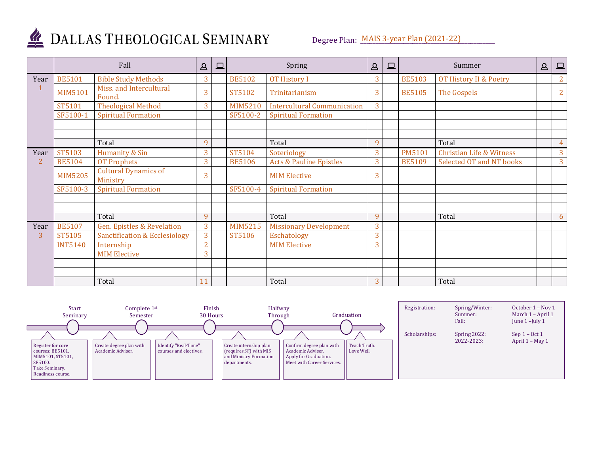

## DALLAS THEOLOGICAL SEMINARY

Degree Plan: MAIS 3-year Plan (2021-22)

|                | Fall           |                                          | $\Delta$       | $\Box$ | Spring         |                                    | $\Delta$ | $\Box$ | Summer        |                                     | $\Delta$ | <u>그</u>       |
|----------------|----------------|------------------------------------------|----------------|--------|----------------|------------------------------------|----------|--------|---------------|-------------------------------------|----------|----------------|
| Year           | <b>BE5101</b>  | <b>Bible Study Methods</b>               | 3              |        | <b>BE5102</b>  | <b>OT History I</b>                | 3        |        | <b>BE5103</b> | OT History II & Poetry              |          | $\overline{2}$ |
|                | <b>MIM5101</b> | Miss. and Intercultural<br>Found.        | 3              |        | ST5102         | Trinitarianism                     | 3        |        | <b>BE5105</b> | The Gospels                         |          | $\overline{2}$ |
|                | ST5101         | <b>Theological Method</b>                | 3              |        | MIM5210        | <b>Intercultural Communication</b> | 3        |        |               |                                     |          |                |
|                | SF5100-1       | <b>Spiritual Formation</b>               |                |        | SF5100-2       | <b>Spiritual Formation</b>         |          |        |               |                                     |          |                |
|                |                |                                          |                |        |                |                                    |          |        |               |                                     |          |                |
|                |                | Total                                    | 9              |        |                | Total                              | 9        |        |               | Total                               |          | $\overline{4}$ |
| Year           | ST5103         | Humanity & Sin                           | 3              |        | ST5104         | Soteriology                        | 3        |        | <b>PM5101</b> | <b>Christian Life &amp; Witness</b> |          | 3              |
| $\overline{2}$ | <b>BE5104</b>  | <b>OT Prophets</b>                       | 3              |        | <b>BE5106</b>  | <b>Acts &amp; Pauline Epistles</b> | 3        |        | <b>BE5109</b> | Selected OT and NT books            |          | 3              |
|                | <b>MIM5205</b> | <b>Cultural Dynamics of</b><br>Ministry  | 3              |        |                | <b>MIM Elective</b>                | 3        |        |               |                                     |          |                |
|                | SF5100-3       | <b>Spiritual Formation</b>               |                |        | SF5100-4       | <b>Spiritual Formation</b>         |          |        |               |                                     |          |                |
|                |                |                                          |                |        |                |                                    |          |        |               |                                     |          |                |
|                |                | Total                                    | 9              |        |                | Total                              | 9        |        |               | Total                               |          | 6              |
| Year           | <b>BE5107</b>  | <b>Gen. Epistles &amp; Revelation</b>    | 3              |        | <b>MIM5215</b> | <b>Missionary Development</b>      | 3        |        |               |                                     |          |                |
| 3              | ST5105         | <b>Sanctification &amp; Ecclesiology</b> | 3              |        | ST5106         | Eschatology                        | 3        |        |               |                                     |          |                |
|                | <b>INT5140</b> | Internship                               | $\overline{2}$ |        |                | <b>MIM Elective</b>                | 3        |        |               |                                     |          |                |
|                |                | <b>MIM Elective</b>                      | 3              |        |                |                                    |          |        |               |                                     |          |                |
|                |                |                                          |                |        |                |                                    |          |        |               |                                     |          |                |
|                |                | Total                                    | 11             |        |                | Total                              | 3        |        |               | Total                               |          |                |